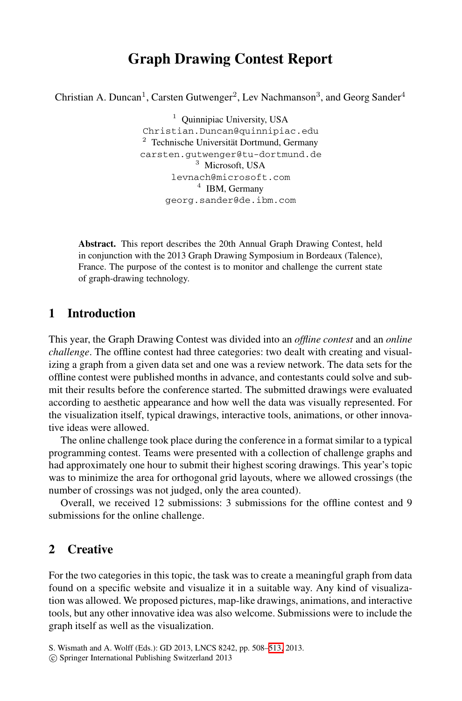# **Graph Drawing Contest Report**

Christian A. Duncan<sup>1</sup>, Carsten Gutwenger<sup>2</sup>, Lev Nachmanson<sup>3</sup>, and Georg Sander<sup>4</sup>

<sup>1</sup> Ouinnipiac University, USA Christian.Duncan@quinnipiac.edu <sup>2</sup> Technische Universität Dortmund, Germany carsten.gutwenger@tu-dortmund.de <sup>3</sup> Microsoft, USA levnach@microsoft.com <sup>4</sup> IBM, Germany georg.sander@de.ibm.com

**Abstract.** This report describes the 20th Annual Graph Drawing Contest, held in conjunction with the 2013 Graph Drawing Symposium in Bordeaux (Talence), France. The purpose of the contest is to monitor and challenge the current state of graph-drawing technology.

### **1 Introduction**

This year, the Graph Drawing Contest was divided into an *offline contest* and an *online challenge*. The offline contest had three categories: two dealt with creating and visualizing a graph from a given data set and one was a review network. The data sets for the offline contest were published months in advance, and contestants could solve and submit their results before the conference started. The submitted drawings were evaluated according to aesthetic appearance and how well the data was visually represented. For the visualization itself, typical drawings, interactive tools, animations, or other innovative ideas were allowed.

The online challenge took place during the conference in a format similar to a typical programming contest. Teams were presented with a collection of challenge graphs and had approximately one hour to submit their highest scoring drawings. This year's topic was to minimize the area for orthogonal grid layouts, where we allowed crossings (the number of crossings was not judged, only the area counted).

Overall, we received 12 submissions: 3 submissions for the offline contest and 9 submissions for the online challenge.

## **2 Creative**

For the two categories in this topic, the task was to create a meaningful graph from data found on a specific website and visualize it in a suitable way. Any kind of visualization was allowed. We proposed pictures, map-like drawings, animations, and interactive tools, but any other innovative idea was also welcome. Submissions were to include the graph itself as well as the visualization.

S. Wismath and A. Wolff (Eds.): GD 2013, LNCS 8242, pp. 508–513, 2013.

<sup>-</sup>c Springer International Publishing Switzerland 2013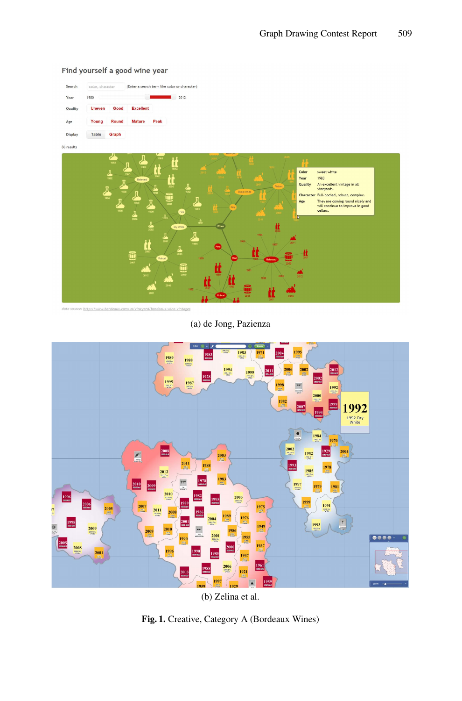

#### Find yourself a good wine year

(a) de Jong, Pazienza





**Fig. 1.** Creative, Category A (Bordeaux Wines)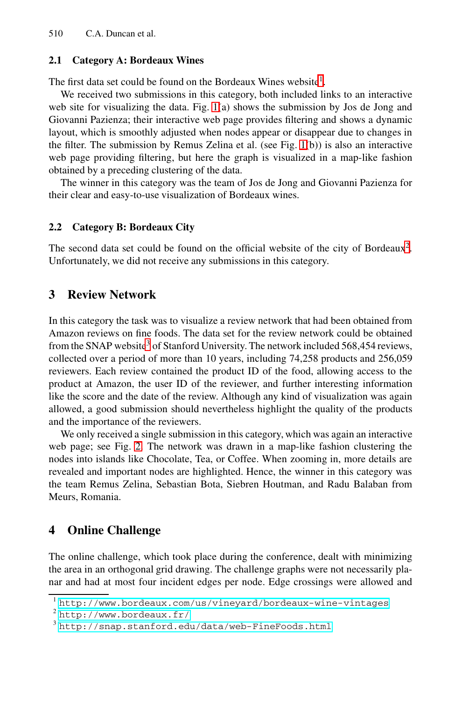510 C.A. Duncan et al.

#### **2.1 Category A: Bordeaux Wines**

The first data set could be found on the Bordeaux Wines website<sup>1</sup>.

We received two submissions in this category, both included links to an interactive web site for visualizing the data. Fig. 1(a) shows the submission by Jos de Jong and Giovanni Pazienza; their interactive web page provides filtering and shows a dynamic layout, which is smoothly adjusted when nodes appear or disappear due to changes in the filter. The submission by Remus Zelina et al. (see Fig. 1(b)) [is](#page-2-0) also an interactive web page providing filtering, but here the graph is visualized in a map-like fashion obtained by a preceding clustering of the data.

The winner in this category was the team of Jos de Jong and Giovanni Pazienza for their clear and easy-to-use visualization of Bordeaux wines.

### **2.2 Category B: Bordeaux City**

Th[e](#page-2-1) second data set could be found on the official website of the city of Bordeaux<sup>2</sup>. Unfortunately, we did not receive any submissions in this category.

### **3 Review Network**

In this category the task was to visualize a review network that had been obtained from Amazon reviews on fine foods. The data set for the review network could be obtained f[ro](#page-3-0)m the SNAP website<sup>3</sup> of Stanford University. The network included 568,454 reviews, collected over a period of more than 10 years, including 74,258 products and 256,059 reviewers. Each review contained the product ID of the food, allowing access to the product at Amazon, the user ID of the reviewer, and further interesting information like the score and the date of the review. Although any kind of visualization was again allowed, a good submission should nevertheless highlight the quality of the products and the importance of the reviewers.

<span id="page-2-1"></span><span id="page-2-0"></span>We only received a single submission in this category, which was again an interactive web page; see Fig. 2. The network was drawn in a map-like fashion clustering the nodes into islands like Chocolate, Tea, or Coffee. When zooming in, more details are revealed and important nodes are highlighted. Hence, the winner in this category was the team Remus Zelina, Sebastian Bota, Siebren Houtman, and Radu Balaban from Meurs, Romania.

## **[4 Online Challenge](http://snap.stanford.edu/data/web-FineFoods.html)**

The online challenge, which took place during the conference, dealt with minimizing the area in an orthogonal grid drawing. The challenge graphs were not necessarily planar and had at most four incident edges per node. Edge crossings were allowed and

<sup>1</sup> http://www.bordeaux.com/us/vineyard/bordeaux-wine-vintages

<sup>2</sup> http://www.bordeaux.fr/

<sup>3</sup> http://snap.stanford.edu/data/web-FineFoods.html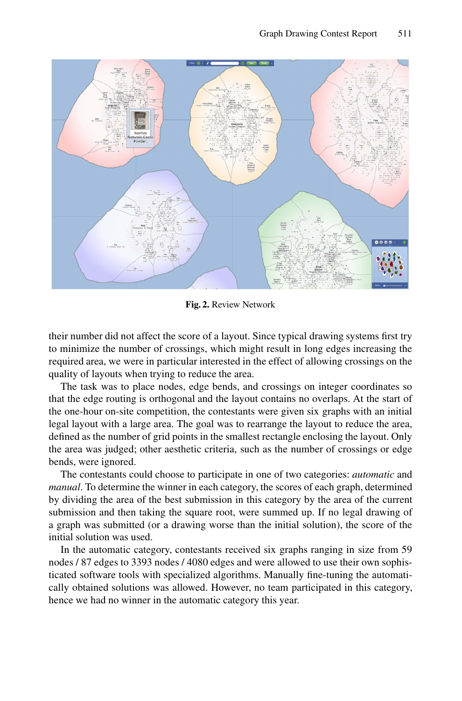<span id="page-3-0"></span>

**Fig. 2.** Review Network

their number did not affect the score of a layout. Since typical drawing systems first try to minimize the number of crossings, which might result in long edges increasing the required area, we were in particular interested in the effect of allowing crossings on the quality of layouts when trying to reduce the area.

The task was to place nodes, edge bends, and crossings on integer coordinates so that the edge routing is orthogonal and the layout contains no overlaps. At the start of the one-hour on-site competition, the contestants were given six graphs with an initial legal layout with a large area. The goal was to rearrange the layout to reduce the area, defined as the number of grid points in the smallest rectangle enclosing the layout. Only the area was judged; other aesthetic criteria, such as the number of crossings or edge bends, were ignored.

The contestants could choose to participate in one of two categories: *automatic* and *manual*. To determine the winner in each category, the scores of each graph, determined by dividing the area of the best submission in this category by the area of the current submission and then taking the square root, were summed up. If no legal drawing of a graph was submitted (or a drawing worse than the initial solution), the score of the initial solution was used.

In the automatic category, contestants received six graphs ranging in size from 59 nodes / 87 edges to 3393 nodes / 4080 edges and were allowed to use their own sophisticated software tools with specialized algorithms. Manually fine-tuning the automatically obtained solutions was allowed. However, no team participated in this category, hence we had no winner in the automatic category this year.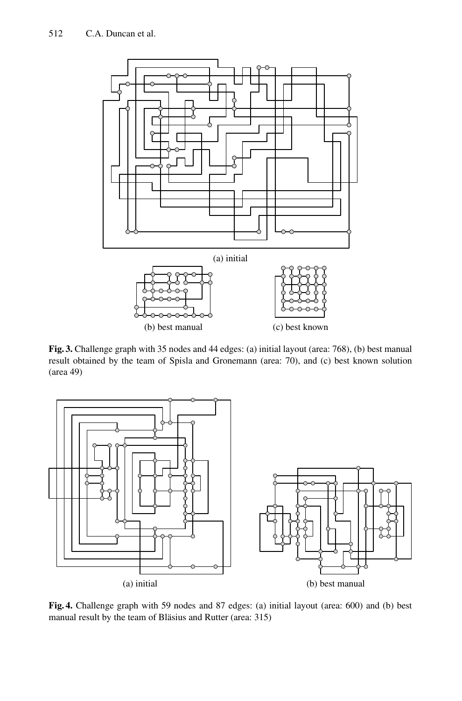

<span id="page-4-0"></span>**Fig. 3.** Challenge graph with 35 nodes and 44 edges: (a) initial layout (area: 768), (b) best manual result obtained by the team of Spisla and Gronemann (area: 70), and (c) best known solution (area 49)



**Fig. 4.** Challenge graph with 59 nodes and 87 edges: (a) initial layout (area: 600) and (b) best manual result by the team of Bläsius and Rutter (area: 315)